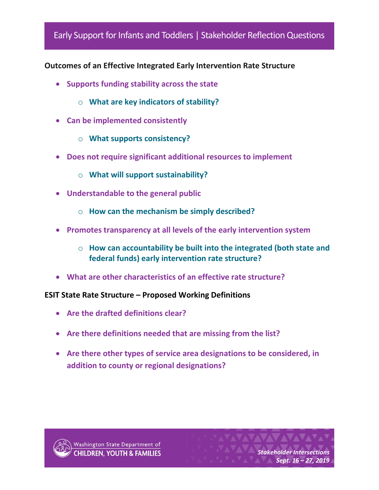## Early Support for Infants and Toddlers | Stakeholder Reflection Questions

## **Outcomes of an Effective Integrated Early Intervention Rate Structure**

- **Supports funding stability across the state**
	- o **What are key indicators of stability?**
- **Can be implemented consistently**
	- o **What supports consistency?**
- **Does not require significant additional resources to implement**
	- o **What will support sustainability?**
- **Understandable to the general public**
	- o **How can the mechanism be simply described?**
- **Promotes transparency at all levels of the early intervention system**
	- o **How can accountability be built into the integrated (both state and federal funds) early intervention rate structure?**
- **What are other characteristics of an effective rate structure?**

## **ESIT State Rate Structure – Proposed Working Definitions**

- **Are the drafted definitions clear?**
- **Are there definitions needed that are missing from the list?**
- **Are there other types of service area designations to be considered, in addition to county or regional designations?**



*Stakeholder Intersections Sept. 16 – 27, 2019*